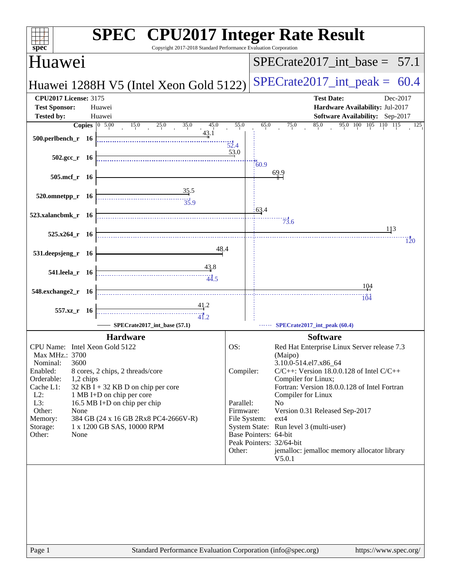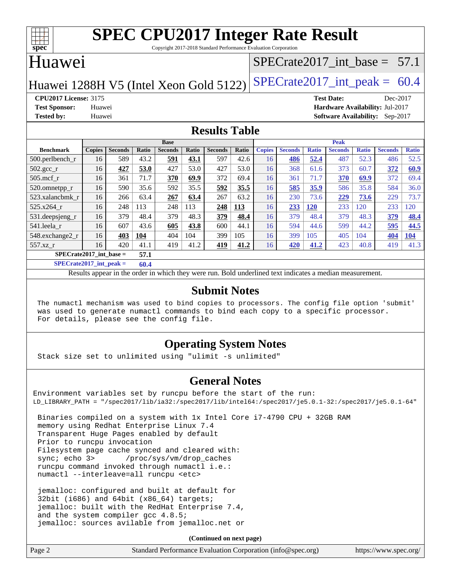

Copyright 2017-2018 Standard Performance Evaluation Corporation

## Huawei

## $SPECTate2017$ \_int\_base = 57.1

Huawei 1288H V5 (Intel Xeon Gold 5122) SPECrate  $2017$ \_int\_peak = 60.4

**[CPU2017 License:](http://www.spec.org/auto/cpu2017/Docs/result-fields.html#CPU2017License)** 3175 **[Test Date:](http://www.spec.org/auto/cpu2017/Docs/result-fields.html#TestDate)** Dec-2017 **[Test Sponsor:](http://www.spec.org/auto/cpu2017/Docs/result-fields.html#TestSponsor)** Huawei **[Hardware Availability:](http://www.spec.org/auto/cpu2017/Docs/result-fields.html#HardwareAvailability)** Jul-2017 **[Tested by:](http://www.spec.org/auto/cpu2017/Docs/result-fields.html#Testedby)** Huawei **[Software Availability:](http://www.spec.org/auto/cpu2017/Docs/result-fields.html#SoftwareAvailability)** Sep-2017

### **[Results Table](http://www.spec.org/auto/cpu2017/Docs/result-fields.html#ResultsTable)**

|                    | <b>Base</b>                       |                |       |                |              | <b>Peak</b>    |              |               |                |              |                |              |                |              |
|--------------------|-----------------------------------|----------------|-------|----------------|--------------|----------------|--------------|---------------|----------------|--------------|----------------|--------------|----------------|--------------|
| <b>Benchmark</b>   | <b>Copies</b>                     | <b>Seconds</b> | Ratio | <b>Seconds</b> | <b>Ratio</b> | <b>Seconds</b> | <b>Ratio</b> | <b>Copies</b> | <b>Seconds</b> | <b>Ratio</b> | <b>Seconds</b> | <b>Ratio</b> | <b>Seconds</b> | <b>Ratio</b> |
| $500$ .perlbench r | 16                                | 589            | 43.2  | 591            | 43.1         | 597            | 42.6         | 16            | 486            | 52.4         | 487            | 52.3         | 486            | 52.5         |
| $502.\text{sec}$   | 16                                | 427            | 53.0  | 427            | 53.0         | 427            | 53.0         | 16            | 368            | 61.6         | 373            | 60.7         | 372            | 60.9         |
| $505$ .mcf r       | 16                                | 361            | 71.7  | 370            | 69.9         | 372            | 69.4         | 16            | 361            | 71.7         | 370            | 69.9         | 372            | 69.4         |
| 520.omnetpp_r      | 16                                | 590            | 35.6  | 592            | 35.5         | 592            | 35.5         | 16            | 585            | 35.9         | 586            | 35.8         | 584            | 36.0         |
| 523.xalancbmk r    | 16                                | 266            | 63.4  | 267            | 63.4         | 267            | 63.2         | 16            | 230            | 73.6         | 229            | 73.6         | 229            | 73.7         |
| 525.x264 r         | 16                                | 248            | 113   | 248            | 113          | 248            | <u>113</u>   | 16            | 233            | <b>120</b>   | 233            | 120          | 233            | 120          |
| 531.deepsjeng_r    | 16                                | 379            | 48.4  | 379            | 48.3         | 379            | 48.4         | 16            | 379            | 48.4         | 379            | 48.3         | 379            | 48.4         |
| 541.leela r        | 16                                | 607            | 43.6  | 605            | 43.8         | 600            | 44.1         | 16            | 594            | 44.6         | 599            | 44.2         | 595            | 44.5         |
| 548.exchange2_r    | 16                                | 403            | 104   | 404            | 104          | 399            | 105          | 16            | 399            | 105          | 405            | 104          | 404            | <u>104</u>   |
| 557.xz r           | 16                                | 420            | 41.1  | 419            | 41.2         | 419            | 41.2         | 16            | 420            | 41.2         | 423            | 40.8         | 419            | 41.3         |
|                    | $SPECrate2017$ int base =<br>57.1 |                |       |                |              |                |              |               |                |              |                |              |                |              |

**[SPECrate2017\\_int\\_peak =](http://www.spec.org/auto/cpu2017/Docs/result-fields.html#SPECrate2017intpeak) 60.4**

Results appear in the [order in which they were run.](http://www.spec.org/auto/cpu2017/Docs/result-fields.html#RunOrder) Bold underlined text [indicates a median measurement.](http://www.spec.org/auto/cpu2017/Docs/result-fields.html#Median)

#### **[Submit Notes](http://www.spec.org/auto/cpu2017/Docs/result-fields.html#SubmitNotes)**

 The numactl mechanism was used to bind copies to processors. The config file option 'submit' was used to generate numactl commands to bind each copy to a specific processor. For details, please see the config file.

### **[Operating System Notes](http://www.spec.org/auto/cpu2017/Docs/result-fields.html#OperatingSystemNotes)**

Stack size set to unlimited using "ulimit -s unlimited"

### **[General Notes](http://www.spec.org/auto/cpu2017/Docs/result-fields.html#GeneralNotes)**

Environment variables set by runcpu before the start of the run: LD\_LIBRARY\_PATH = "/spec2017/lib/ia32:/spec2017/lib/intel64:/spec2017/je5.0.1-32:/spec2017/je5.0.1-64"

 Binaries compiled on a system with 1x Intel Core i7-4790 CPU + 32GB RAM memory using Redhat Enterprise Linux 7.4 Transparent Huge Pages enabled by default Prior to runcpu invocation Filesystem page cache synced and cleared with: sync; echo 3> /proc/sys/vm/drop\_caches runcpu command invoked through numactl i.e.: numactl --interleave=all runcpu <etc>

 jemalloc: configured and built at default for 32bit (i686) and 64bit (x86\_64) targets; jemalloc: built with the RedHat Enterprise 7.4, and the system compiler gcc 4.8.5; jemalloc: sources avilable from jemalloc.net or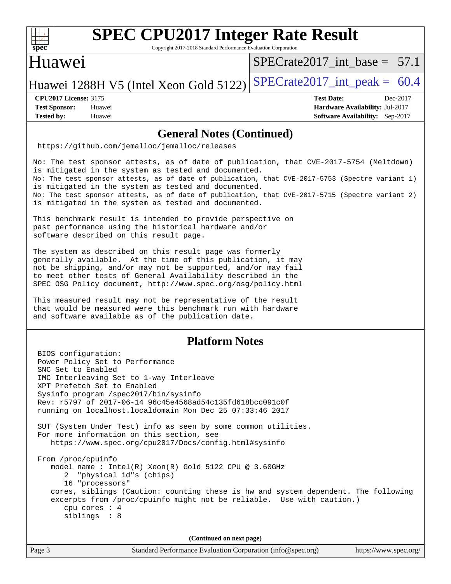

Copyright 2017-2018 Standard Performance Evaluation Corporation

## Huawei

SPECrate2017 int\_base =  $57.1$ 

Huawei 1288H V5 (Intel Xeon Gold 5122) SPECrate  $2017$ \_int\_peak = 60.4

**[Test Sponsor:](http://www.spec.org/auto/cpu2017/Docs/result-fields.html#TestSponsor)** Huawei **[Hardware Availability:](http://www.spec.org/auto/cpu2017/Docs/result-fields.html#HardwareAvailability)** Jul-2017 **[Tested by:](http://www.spec.org/auto/cpu2017/Docs/result-fields.html#Testedby)** Huawei **[Software Availability:](http://www.spec.org/auto/cpu2017/Docs/result-fields.html#SoftwareAvailability)** Sep-2017

**[CPU2017 License:](http://www.spec.org/auto/cpu2017/Docs/result-fields.html#CPU2017License)** 3175 **[Test Date:](http://www.spec.org/auto/cpu2017/Docs/result-fields.html#TestDate)** Dec-2017

**[General Notes \(Continued\)](http://www.spec.org/auto/cpu2017/Docs/result-fields.html#GeneralNotes)**

<https://github.com/jemalloc/jemalloc/releases>

No: The test sponsor attests, as of date of publication, that CVE-2017-5754 (Meltdown) is mitigated in the system as tested and documented. No: The test sponsor attests, as of date of publication, that CVE-2017-5753 (Spectre variant 1) is mitigated in the system as tested and documented. No: The test sponsor attests, as of date of publication, that CVE-2017-5715 (Spectre variant 2) is mitigated in the system as tested and documented.

This benchmark result is intended to provide perspective on past performance using the historical hardware and/or software described on this result page.

The system as described on this result page was formerly generally available. At the time of this publication, it may not be shipping, and/or may not be supported, and/or may fail to meet other tests of General Availability described in the SPEC OSG Policy document, <http://www.spec.org/osg/policy.html>

This measured result may not be representative of the result that would be measured were this benchmark run with hardware and software available as of the publication date.

### **[Platform Notes](http://www.spec.org/auto/cpu2017/Docs/result-fields.html#PlatformNotes)**

 BIOS configuration: Power Policy Set to Performance SNC Set to Enabled IMC Interleaving Set to 1-way Interleave XPT Prefetch Set to Enabled Sysinfo program /spec2017/bin/sysinfo Rev: r5797 of 2017-06-14 96c45e4568ad54c135fd618bcc091c0f running on localhost.localdomain Mon Dec 25 07:33:46 2017 SUT (System Under Test) info as seen by some common utilities. For more information on this section, see <https://www.spec.org/cpu2017/Docs/config.html#sysinfo> From /proc/cpuinfo model name : Intel(R) Xeon(R) Gold 5122 CPU @ 3.60GHz 2 "physical id"s (chips) 16 "processors" cores, siblings (Caution: counting these is hw and system dependent. The following excerpts from /proc/cpuinfo might not be reliable. Use with caution.) cpu cores : 4 siblings : 8 **(Continued on next page)**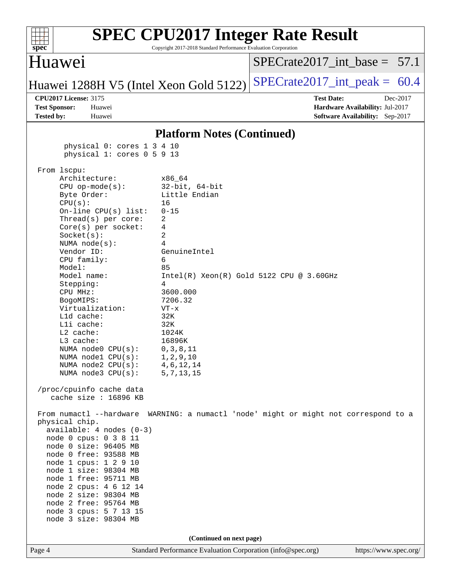| Huawei<br>$SPECrate2017\_int\_base = 57.1$<br>$SPECrate2017\_int\_peak = 60.4$<br>Huawei 1288H V5 (Intel Xeon Gold 5122)<br><b>CPU2017 License: 3175</b><br><b>Test Date:</b><br>Dec-2017<br><b>Test Sponsor:</b><br>Hardware Availability: Jul-2017<br>Huawei<br><b>Tested by:</b><br>Software Availability: Sep-2017<br>Huawei<br><b>Platform Notes (Continued)</b><br>physical 0: cores 1 3 4 10<br>physical 1: cores 0 5 9 13<br>From lscpu:<br>Architecture:<br>x86 64<br>$32$ -bit, $64$ -bit<br>$CPU$ op-mode( $s$ ):<br>Little Endian<br>Byte Order:<br>CPU(s):<br>16<br>On-line CPU(s) list:<br>$0 - 15$<br>Thread(s) per core:<br>2<br>4<br>$Core(s)$ per socket:<br>2<br>Socket(s):<br>4<br>NUMA $node(s):$<br>Vendor ID:<br>GenuineIntel<br>CPU family:<br>6<br>Model:<br>85<br>Model name:<br>$Intel(R) Xeon(R) Gold 5122 CPU @ 3.60GHz$<br>4<br>Stepping:<br>CPU MHz:<br>3600.000<br>7206.32<br>BogoMIPS:<br>Virtualization:<br>$VT - x$<br>L1d cache:<br>32K<br>Lli cache:<br>32K<br>L2 cache:<br>1024K<br>L3 cache:<br>16896K<br>NUMA $node0$ $CPU(s):$<br>0, 3, 8, 11<br>NUMA $node1$ $CPU(s):$<br>1,2,9,10<br>NUMA $node2$ $CPU(s):$<br>4, 6, 12, 14<br>NUMA node3 CPU(s):<br>5, 7, 13, 15<br>/proc/cpuinfo cache data<br>cache size : 16896 KB |
|-------------------------------------------------------------------------------------------------------------------------------------------------------------------------------------------------------------------------------------------------------------------------------------------------------------------------------------------------------------------------------------------------------------------------------------------------------------------------------------------------------------------------------------------------------------------------------------------------------------------------------------------------------------------------------------------------------------------------------------------------------------------------------------------------------------------------------------------------------------------------------------------------------------------------------------------------------------------------------------------------------------------------------------------------------------------------------------------------------------------------------------------------------------------------------------------------------------------------------------------------------------------|
|                                                                                                                                                                                                                                                                                                                                                                                                                                                                                                                                                                                                                                                                                                                                                                                                                                                                                                                                                                                                                                                                                                                                                                                                                                                                   |
|                                                                                                                                                                                                                                                                                                                                                                                                                                                                                                                                                                                                                                                                                                                                                                                                                                                                                                                                                                                                                                                                                                                                                                                                                                                                   |
|                                                                                                                                                                                                                                                                                                                                                                                                                                                                                                                                                                                                                                                                                                                                                                                                                                                                                                                                                                                                                                                                                                                                                                                                                                                                   |
|                                                                                                                                                                                                                                                                                                                                                                                                                                                                                                                                                                                                                                                                                                                                                                                                                                                                                                                                                                                                                                                                                                                                                                                                                                                                   |
|                                                                                                                                                                                                                                                                                                                                                                                                                                                                                                                                                                                                                                                                                                                                                                                                                                                                                                                                                                                                                                                                                                                                                                                                                                                                   |
|                                                                                                                                                                                                                                                                                                                                                                                                                                                                                                                                                                                                                                                                                                                                                                                                                                                                                                                                                                                                                                                                                                                                                                                                                                                                   |
| From numactl --hardware<br>WARNING: a numactl 'node' might or might not correspond to a<br>physical chip.<br>$available: 4 nodes (0-3)$<br>node 0 cpus: 0 3 8 11<br>node 0 size: 96405 MB<br>node 0 free: 93588 MB<br>node 1 cpus: 1 2 9 10<br>node 1 size: 98304 MB<br>node 1 free: 95711 MB<br>node 2 cpus: 4 6 12 14<br>node 2 size: 98304 MB<br>node 2 free: 95764 MB<br>node 3 cpus: 5 7 13 15<br>node 3 size: 98304 MB                                                                                                                                                                                                                                                                                                                                                                                                                                                                                                                                                                                                                                                                                                                                                                                                                                      |
| (Continued on next page)<br>Standard Performance Evaluation Corporation (info@spec.org)<br>Page 4<br>https://www.spec.org/                                                                                                                                                                                                                                                                                                                                                                                                                                                                                                                                                                                                                                                                                                                                                                                                                                                                                                                                                                                                                                                                                                                                        |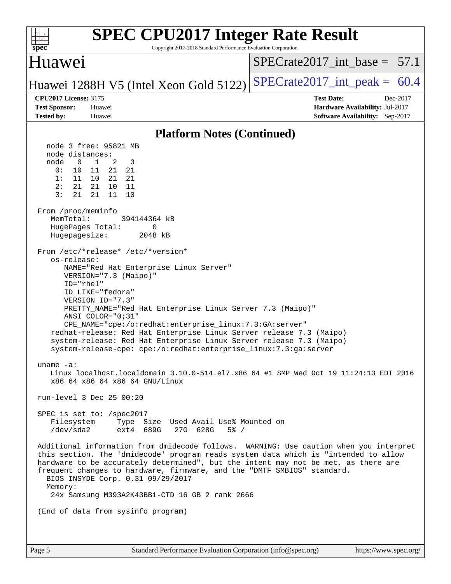| <b>SPEC CPU2017 Integer Rate Result</b><br>Copyright 2017-2018 Standard Performance Evaluation Corporation<br>$spec^*$                                                                                                                                                                                                                                                                                                                                                                                                                                                                                                                                                                                                                                                                                                                                                                                                                                                                                                                                                                                                                                                                                                                                                                                                                                                                                                                                                                                                                                                                                                                                         |                                                                                                     |
|----------------------------------------------------------------------------------------------------------------------------------------------------------------------------------------------------------------------------------------------------------------------------------------------------------------------------------------------------------------------------------------------------------------------------------------------------------------------------------------------------------------------------------------------------------------------------------------------------------------------------------------------------------------------------------------------------------------------------------------------------------------------------------------------------------------------------------------------------------------------------------------------------------------------------------------------------------------------------------------------------------------------------------------------------------------------------------------------------------------------------------------------------------------------------------------------------------------------------------------------------------------------------------------------------------------------------------------------------------------------------------------------------------------------------------------------------------------------------------------------------------------------------------------------------------------------------------------------------------------------------------------------------------------|-----------------------------------------------------------------------------------------------------|
| Huawei                                                                                                                                                                                                                                                                                                                                                                                                                                                                                                                                                                                                                                                                                                                                                                                                                                                                                                                                                                                                                                                                                                                                                                                                                                                                                                                                                                                                                                                                                                                                                                                                                                                         | $SPECTate2017$ int base = 57.1                                                                      |
| Huawei 1288H V5 (Intel Xeon Gold 5122)                                                                                                                                                                                                                                                                                                                                                                                                                                                                                                                                                                                                                                                                                                                                                                                                                                                                                                                                                                                                                                                                                                                                                                                                                                                                                                                                                                                                                                                                                                                                                                                                                         | $SPECrate2017\_int\_peak = 60.4$                                                                    |
| <b>CPU2017 License: 3175</b><br><b>Test Sponsor:</b><br>Huawei<br><b>Tested by:</b><br>Huawei                                                                                                                                                                                                                                                                                                                                                                                                                                                                                                                                                                                                                                                                                                                                                                                                                                                                                                                                                                                                                                                                                                                                                                                                                                                                                                                                                                                                                                                                                                                                                                  | <b>Test Date:</b><br>Dec-2017<br>Hardware Availability: Jul-2017<br>Software Availability: Sep-2017 |
| <b>Platform Notes (Continued)</b>                                                                                                                                                                                                                                                                                                                                                                                                                                                                                                                                                                                                                                                                                                                                                                                                                                                                                                                                                                                                                                                                                                                                                                                                                                                                                                                                                                                                                                                                                                                                                                                                                              |                                                                                                     |
| node 3 free: 95821 MB<br>node distances:<br>$\mathbf 0$<br>$\mathbf{1}$<br>2<br>3<br>node<br>0:<br>10<br>11<br>21 21<br>1:<br>11<br>21<br>10<br>21<br>2:<br>21<br>21<br>10<br>11<br>3:<br>21<br>21<br>10<br>11<br>From /proc/meminfo<br>MemTotal:<br>394144364 kB<br>HugePages_Total:<br>0<br>Hugepagesize:<br>2048 kB<br>From /etc/*release* /etc/*version*<br>os-release:<br>NAME="Red Hat Enterprise Linux Server"<br>VERSION="7.3 (Maipo)"<br>ID="rhel"<br>ID_LIKE="fedora"<br>VERSION_ID="7.3"<br>PRETTY_NAME="Red Hat Enterprise Linux Server 7.3 (Maipo)"<br>ANSI COLOR="0;31"<br>CPE_NAME="cpe:/o:redhat:enterprise_linux:7.3:GA:server"<br>redhat-release: Red Hat Enterprise Linux Server release 7.3 (Maipo)<br>system-release: Red Hat Enterprise Linux Server release 7.3 (Maipo)<br>system-release-cpe: cpe:/o:redhat:enterprise_linux:7.3:ga:server<br>uname $-a$ :<br>Linux localhost.localdomain 3.10.0-514.el7.x86_64 #1 SMP Wed Oct 19 11:24:13 EDT 2016<br>x86_64 x86_64 x86_64 GNU/Linux<br>run-level 3 Dec 25 00:20<br>SPEC is set to: /spec2017<br>Filesystem Type Size Used Avail Use% Mounted on<br>/dev/sda2 ext4 689G 27G 628G<br>$5\%$ /<br>Additional information from dmidecode follows. WARNING: Use caution when you interpret<br>this section. The 'dmidecode' program reads system data which is "intended to allow<br>hardware to be accurately determined", but the intent may not be met, as there are<br>frequent changes to hardware, firmware, and the "DMTF SMBIOS" standard.<br>BIOS INSYDE Corp. 0.31 09/29/2017<br>Memory:<br>24x Samsung M393A2K43BB1-CTD 16 GB 2 rank 2666<br>(End of data from sysinfo program) |                                                                                                     |
|                                                                                                                                                                                                                                                                                                                                                                                                                                                                                                                                                                                                                                                                                                                                                                                                                                                                                                                                                                                                                                                                                                                                                                                                                                                                                                                                                                                                                                                                                                                                                                                                                                                                |                                                                                                     |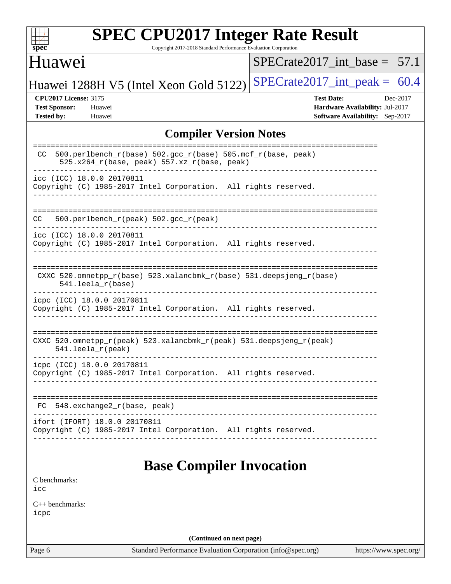| v.<br>е |  |  |  |  |  |  |  |
|---------|--|--|--|--|--|--|--|

Copyright 2017-2018 Standard Performance Evaluation Corporation

## Huawei

 $SPECrate2017\_int\_base = 57.1$ 

Huawei 1288H V5 (Intel Xeon Gold 5122) SPECrate  $2017$ \_int\_peak = 60.4

**[CPU2017 License:](http://www.spec.org/auto/cpu2017/Docs/result-fields.html#CPU2017License)** 3175 **[Test Date:](http://www.spec.org/auto/cpu2017/Docs/result-fields.html#TestDate)** Dec-2017 **[Test Sponsor:](http://www.spec.org/auto/cpu2017/Docs/result-fields.html#TestSponsor)** Huawei **[Hardware Availability:](http://www.spec.org/auto/cpu2017/Docs/result-fields.html#HardwareAvailability)** Jul-2017 **[Tested by:](http://www.spec.org/auto/cpu2017/Docs/result-fields.html#Testedby)** Huawei **[Software Availability:](http://www.spec.org/auto/cpu2017/Docs/result-fields.html#SoftwareAvailability)** Sep-2017

### **[Compiler Version Notes](http://www.spec.org/auto/cpu2017/Docs/result-fields.html#CompilerVersionNotes)**

| 500.perlbench_r(base) 502.gcc_r(base) 505.mcf_r(base, peak)<br>CC.<br>$525.x264_r(base, peak) 557.xz_r(base, peak)$ |
|---------------------------------------------------------------------------------------------------------------------|
| icc (ICC) 18.0.0 20170811<br>Copyright (C) 1985-2017 Intel Corporation. All rights reserved.                        |
| 500.perlbench_r(peak) 502.gcc_r(peak)<br>CC.                                                                        |
| icc (ICC) 18.0.0 20170811<br>Copyright (C) 1985-2017 Intel Corporation. All rights reserved.                        |
| CXXC 520.omnetpp_r(base) 523.xalancbmk_r(base) 531.deepsjeng_r(base)<br>$541.$ leela $r(base)$                      |
| icpc (ICC) 18.0.0 20170811<br>Copyright (C) 1985-2017 Intel Corporation. All rights reserved.                       |
| CXXC 520.omnetpp_r(peak) 523.xalancbmk_r(peak) 531.deepsjeng_r(peak)<br>$541.$ leela_r(peak)                        |
| icpc (ICC) 18.0.0 20170811<br>Copyright (C) 1985-2017 Intel Corporation. All rights reserved.                       |
| 548.exchange2_r(base, peak)<br>FC.                                                                                  |
| ifort (IFORT) 18.0.0 20170811<br>Copyright (C) 1985-2017 Intel Corporation. All rights reserved.                    |

## **[Base Compiler Invocation](http://www.spec.org/auto/cpu2017/Docs/result-fields.html#BaseCompilerInvocation)**

[C benchmarks](http://www.spec.org/auto/cpu2017/Docs/result-fields.html#Cbenchmarks): [icc](http://www.spec.org/cpu2017/results/res2018q1/cpu2017-20180105-02481.flags.html#user_CCbase_intel_icc_18.0_66fc1ee009f7361af1fbd72ca7dcefbb700085f36577c54f309893dd4ec40d12360134090235512931783d35fd58c0460139e722d5067c5574d8eaf2b3e37e92)

[C++ benchmarks:](http://www.spec.org/auto/cpu2017/Docs/result-fields.html#CXXbenchmarks) [icpc](http://www.spec.org/cpu2017/results/res2018q1/cpu2017-20180105-02481.flags.html#user_CXXbase_intel_icpc_18.0_c510b6838c7f56d33e37e94d029a35b4a7bccf4766a728ee175e80a419847e808290a9b78be685c44ab727ea267ec2f070ec5dc83b407c0218cded6866a35d07)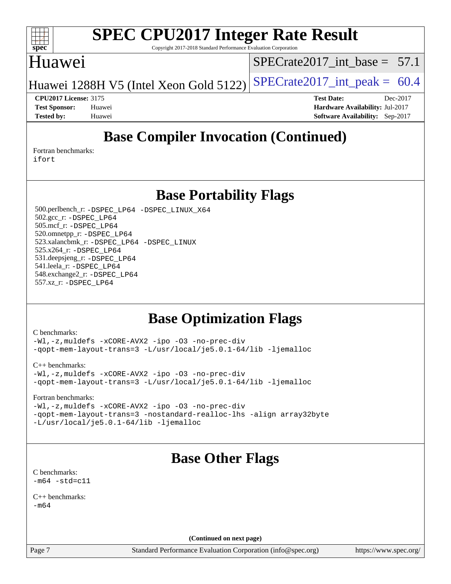

Copyright 2017-2018 Standard Performance Evaluation Corporation

## Huawei

SPECrate2017 int\_base =  $57.1$ 

Huawei 1288H V5 (Intel Xeon Gold 5122) SPECrate  $2017$ \_int\_peak = 60.4

**[Test Sponsor:](http://www.spec.org/auto/cpu2017/Docs/result-fields.html#TestSponsor)** Huawei **[Hardware Availability:](http://www.spec.org/auto/cpu2017/Docs/result-fields.html#HardwareAvailability)** Jul-2017 **[Tested by:](http://www.spec.org/auto/cpu2017/Docs/result-fields.html#Testedby)** Huawei **[Software Availability:](http://www.spec.org/auto/cpu2017/Docs/result-fields.html#SoftwareAvailability)** Sep-2017

**[CPU2017 License:](http://www.spec.org/auto/cpu2017/Docs/result-fields.html#CPU2017License)** 3175 **[Test Date:](http://www.spec.org/auto/cpu2017/Docs/result-fields.html#TestDate)** Dec-2017

**[Base Compiler Invocation \(Continued\)](http://www.spec.org/auto/cpu2017/Docs/result-fields.html#BaseCompilerInvocation)**

[Fortran benchmarks](http://www.spec.org/auto/cpu2017/Docs/result-fields.html#Fortranbenchmarks): [ifort](http://www.spec.org/cpu2017/results/res2018q1/cpu2017-20180105-02481.flags.html#user_FCbase_intel_ifort_18.0_8111460550e3ca792625aed983ce982f94888b8b503583aa7ba2b8303487b4d8a21a13e7191a45c5fd58ff318f48f9492884d4413fa793fd88dd292cad7027ca)

**[Base Portability Flags](http://www.spec.org/auto/cpu2017/Docs/result-fields.html#BasePortabilityFlags)**

 500.perlbench\_r: [-DSPEC\\_LP64](http://www.spec.org/cpu2017/results/res2018q1/cpu2017-20180105-02481.flags.html#b500.perlbench_r_basePORTABILITY_DSPEC_LP64) [-DSPEC\\_LINUX\\_X64](http://www.spec.org/cpu2017/results/res2018q1/cpu2017-20180105-02481.flags.html#b500.perlbench_r_baseCPORTABILITY_DSPEC_LINUX_X64) 502.gcc\_r: [-DSPEC\\_LP64](http://www.spec.org/cpu2017/results/res2018q1/cpu2017-20180105-02481.flags.html#suite_basePORTABILITY502_gcc_r_DSPEC_LP64) 505.mcf\_r: [-DSPEC\\_LP64](http://www.spec.org/cpu2017/results/res2018q1/cpu2017-20180105-02481.flags.html#suite_basePORTABILITY505_mcf_r_DSPEC_LP64) 520.omnetpp\_r: [-DSPEC\\_LP64](http://www.spec.org/cpu2017/results/res2018q1/cpu2017-20180105-02481.flags.html#suite_basePORTABILITY520_omnetpp_r_DSPEC_LP64) 523.xalancbmk\_r: [-DSPEC\\_LP64](http://www.spec.org/cpu2017/results/res2018q1/cpu2017-20180105-02481.flags.html#suite_basePORTABILITY523_xalancbmk_r_DSPEC_LP64) [-DSPEC\\_LINUX](http://www.spec.org/cpu2017/results/res2018q1/cpu2017-20180105-02481.flags.html#b523.xalancbmk_r_baseCXXPORTABILITY_DSPEC_LINUX) 525.x264\_r: [-DSPEC\\_LP64](http://www.spec.org/cpu2017/results/res2018q1/cpu2017-20180105-02481.flags.html#suite_basePORTABILITY525_x264_r_DSPEC_LP64) 531.deepsjeng\_r: [-DSPEC\\_LP64](http://www.spec.org/cpu2017/results/res2018q1/cpu2017-20180105-02481.flags.html#suite_basePORTABILITY531_deepsjeng_r_DSPEC_LP64) 541.leela\_r: [-DSPEC\\_LP64](http://www.spec.org/cpu2017/results/res2018q1/cpu2017-20180105-02481.flags.html#suite_basePORTABILITY541_leela_r_DSPEC_LP64) 548.exchange2\_r: [-DSPEC\\_LP64](http://www.spec.org/cpu2017/results/res2018q1/cpu2017-20180105-02481.flags.html#suite_basePORTABILITY548_exchange2_r_DSPEC_LP64) 557.xz\_r: [-DSPEC\\_LP64](http://www.spec.org/cpu2017/results/res2018q1/cpu2017-20180105-02481.flags.html#suite_basePORTABILITY557_xz_r_DSPEC_LP64)

## **[Base Optimization Flags](http://www.spec.org/auto/cpu2017/Docs/result-fields.html#BaseOptimizationFlags)**

[C benchmarks](http://www.spec.org/auto/cpu2017/Docs/result-fields.html#Cbenchmarks):

[-Wl,-z,muldefs](http://www.spec.org/cpu2017/results/res2018q1/cpu2017-20180105-02481.flags.html#user_CCbase_link_force_multiple1_b4cbdb97b34bdee9ceefcfe54f4c8ea74255f0b02a4b23e853cdb0e18eb4525ac79b5a88067c842dd0ee6996c24547a27a4b99331201badda8798ef8a743f577) [-xCORE-AVX2](http://www.spec.org/cpu2017/results/res2018q1/cpu2017-20180105-02481.flags.html#user_CCbase_f-xCORE-AVX2) [-ipo](http://www.spec.org/cpu2017/results/res2018q1/cpu2017-20180105-02481.flags.html#user_CCbase_f-ipo) [-O3](http://www.spec.org/cpu2017/results/res2018q1/cpu2017-20180105-02481.flags.html#user_CCbase_f-O3) [-no-prec-div](http://www.spec.org/cpu2017/results/res2018q1/cpu2017-20180105-02481.flags.html#user_CCbase_f-no-prec-div) [-qopt-mem-layout-trans=3](http://www.spec.org/cpu2017/results/res2018q1/cpu2017-20180105-02481.flags.html#user_CCbase_f-qopt-mem-layout-trans_de80db37974c74b1f0e20d883f0b675c88c3b01e9d123adea9b28688d64333345fb62bc4a798493513fdb68f60282f9a726aa07f478b2f7113531aecce732043) [-L/usr/local/je5.0.1-64/lib](http://www.spec.org/cpu2017/results/res2018q1/cpu2017-20180105-02481.flags.html#user_CCbase_jemalloc_link_path64_4b10a636b7bce113509b17f3bd0d6226c5fb2346b9178c2d0232c14f04ab830f976640479e5c33dc2bcbbdad86ecfb6634cbbd4418746f06f368b512fced5394) [-ljemalloc](http://www.spec.org/cpu2017/results/res2018q1/cpu2017-20180105-02481.flags.html#user_CCbase_jemalloc_link_lib_d1249b907c500fa1c0672f44f562e3d0f79738ae9e3c4a9c376d49f265a04b9c99b167ecedbf6711b3085be911c67ff61f150a17b3472be731631ba4d0471706)

[C++ benchmarks:](http://www.spec.org/auto/cpu2017/Docs/result-fields.html#CXXbenchmarks) [-Wl,-z,muldefs](http://www.spec.org/cpu2017/results/res2018q1/cpu2017-20180105-02481.flags.html#user_CXXbase_link_force_multiple1_b4cbdb97b34bdee9ceefcfe54f4c8ea74255f0b02a4b23e853cdb0e18eb4525ac79b5a88067c842dd0ee6996c24547a27a4b99331201badda8798ef8a743f577) [-xCORE-AVX2](http://www.spec.org/cpu2017/results/res2018q1/cpu2017-20180105-02481.flags.html#user_CXXbase_f-xCORE-AVX2) [-ipo](http://www.spec.org/cpu2017/results/res2018q1/cpu2017-20180105-02481.flags.html#user_CXXbase_f-ipo) [-O3](http://www.spec.org/cpu2017/results/res2018q1/cpu2017-20180105-02481.flags.html#user_CXXbase_f-O3) [-no-prec-div](http://www.spec.org/cpu2017/results/res2018q1/cpu2017-20180105-02481.flags.html#user_CXXbase_f-no-prec-div) [-qopt-mem-layout-trans=3](http://www.spec.org/cpu2017/results/res2018q1/cpu2017-20180105-02481.flags.html#user_CXXbase_f-qopt-mem-layout-trans_de80db37974c74b1f0e20d883f0b675c88c3b01e9d123adea9b28688d64333345fb62bc4a798493513fdb68f60282f9a726aa07f478b2f7113531aecce732043) [-L/usr/local/je5.0.1-64/lib](http://www.spec.org/cpu2017/results/res2018q1/cpu2017-20180105-02481.flags.html#user_CXXbase_jemalloc_link_path64_4b10a636b7bce113509b17f3bd0d6226c5fb2346b9178c2d0232c14f04ab830f976640479e5c33dc2bcbbdad86ecfb6634cbbd4418746f06f368b512fced5394) [-ljemalloc](http://www.spec.org/cpu2017/results/res2018q1/cpu2017-20180105-02481.flags.html#user_CXXbase_jemalloc_link_lib_d1249b907c500fa1c0672f44f562e3d0f79738ae9e3c4a9c376d49f265a04b9c99b167ecedbf6711b3085be911c67ff61f150a17b3472be731631ba4d0471706)

[Fortran benchmarks](http://www.spec.org/auto/cpu2017/Docs/result-fields.html#Fortranbenchmarks):

[-Wl,-z,muldefs](http://www.spec.org/cpu2017/results/res2018q1/cpu2017-20180105-02481.flags.html#user_FCbase_link_force_multiple1_b4cbdb97b34bdee9ceefcfe54f4c8ea74255f0b02a4b23e853cdb0e18eb4525ac79b5a88067c842dd0ee6996c24547a27a4b99331201badda8798ef8a743f577) [-xCORE-AVX2](http://www.spec.org/cpu2017/results/res2018q1/cpu2017-20180105-02481.flags.html#user_FCbase_f-xCORE-AVX2) [-ipo](http://www.spec.org/cpu2017/results/res2018q1/cpu2017-20180105-02481.flags.html#user_FCbase_f-ipo) [-O3](http://www.spec.org/cpu2017/results/res2018q1/cpu2017-20180105-02481.flags.html#user_FCbase_f-O3) [-no-prec-div](http://www.spec.org/cpu2017/results/res2018q1/cpu2017-20180105-02481.flags.html#user_FCbase_f-no-prec-div) [-qopt-mem-layout-trans=3](http://www.spec.org/cpu2017/results/res2018q1/cpu2017-20180105-02481.flags.html#user_FCbase_f-qopt-mem-layout-trans_de80db37974c74b1f0e20d883f0b675c88c3b01e9d123adea9b28688d64333345fb62bc4a798493513fdb68f60282f9a726aa07f478b2f7113531aecce732043) [-nostandard-realloc-lhs](http://www.spec.org/cpu2017/results/res2018q1/cpu2017-20180105-02481.flags.html#user_FCbase_f_2003_std_realloc_82b4557e90729c0f113870c07e44d33d6f5a304b4f63d4c15d2d0f1fab99f5daaed73bdb9275d9ae411527f28b936061aa8b9c8f2d63842963b95c9dd6426b8a) [-align array32byte](http://www.spec.org/cpu2017/results/res2018q1/cpu2017-20180105-02481.flags.html#user_FCbase_align_array32byte_b982fe038af199962ba9a80c053b8342c548c85b40b8e86eb3cc33dee0d7986a4af373ac2d51c3f7cf710a18d62fdce2948f201cd044323541f22fc0fffc51b6) [-L/usr/local/je5.0.1-64/lib](http://www.spec.org/cpu2017/results/res2018q1/cpu2017-20180105-02481.flags.html#user_FCbase_jemalloc_link_path64_4b10a636b7bce113509b17f3bd0d6226c5fb2346b9178c2d0232c14f04ab830f976640479e5c33dc2bcbbdad86ecfb6634cbbd4418746f06f368b512fced5394) [-ljemalloc](http://www.spec.org/cpu2017/results/res2018q1/cpu2017-20180105-02481.flags.html#user_FCbase_jemalloc_link_lib_d1249b907c500fa1c0672f44f562e3d0f79738ae9e3c4a9c376d49f265a04b9c99b167ecedbf6711b3085be911c67ff61f150a17b3472be731631ba4d0471706)

## **[Base Other Flags](http://www.spec.org/auto/cpu2017/Docs/result-fields.html#BaseOtherFlags)**

[C benchmarks](http://www.spec.org/auto/cpu2017/Docs/result-fields.html#Cbenchmarks):  $-m64 - std= c11$  $-m64 - std= c11$ 

[C++ benchmarks:](http://www.spec.org/auto/cpu2017/Docs/result-fields.html#CXXbenchmarks)  $-m64$ 

**(Continued on next page)**

Page 7 Standard Performance Evaluation Corporation [\(info@spec.org\)](mailto:info@spec.org) <https://www.spec.org/>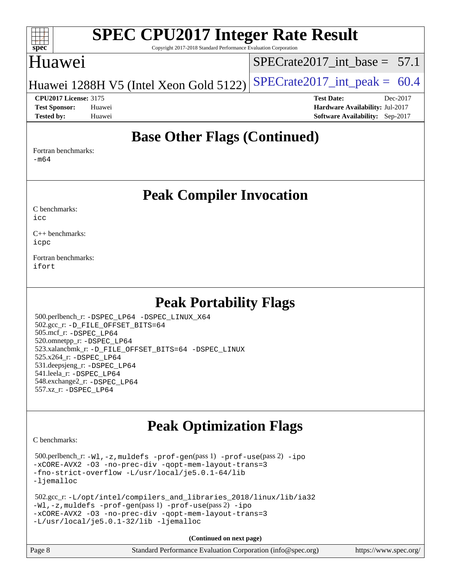#### $+\ +$ **[spec](http://www.spec.org/)**

# **[SPEC CPU2017 Integer Rate Result](http://www.spec.org/auto/cpu2017/Docs/result-fields.html#SPECCPU2017IntegerRateResult)**

Copyright 2017-2018 Standard Performance Evaluation Corporation

## Huawei

SPECrate2017 int\_base =  $57.1$ 

Huawei 1288H V5 (Intel Xeon Gold 5122) SPECrate  $2017$ \_int\_peak = 60.4

**[Tested by:](http://www.spec.org/auto/cpu2017/Docs/result-fields.html#Testedby)** Huawei **[Software Availability:](http://www.spec.org/auto/cpu2017/Docs/result-fields.html#SoftwareAvailability)** Sep-2017

**[CPU2017 License:](http://www.spec.org/auto/cpu2017/Docs/result-fields.html#CPU2017License)** 3175 **[Test Date:](http://www.spec.org/auto/cpu2017/Docs/result-fields.html#TestDate)** Dec-2017 **[Test Sponsor:](http://www.spec.org/auto/cpu2017/Docs/result-fields.html#TestSponsor)** Huawei **[Hardware Availability:](http://www.spec.org/auto/cpu2017/Docs/result-fields.html#HardwareAvailability)** Jul-2017

## **[Base Other Flags \(Continued\)](http://www.spec.org/auto/cpu2017/Docs/result-fields.html#BaseOtherFlags)**

[Fortran benchmarks](http://www.spec.org/auto/cpu2017/Docs/result-fields.html#Fortranbenchmarks): [-m64](http://www.spec.org/cpu2017/results/res2018q1/cpu2017-20180105-02481.flags.html#user_FCbase_intel_intel64_18.0_af43caccfc8ded86e7699f2159af6efc7655f51387b94da716254467f3c01020a5059329e2569e4053f409e7c9202a7efc638f7a6d1ffb3f52dea4a3e31d82ab)

## **[Peak Compiler Invocation](http://www.spec.org/auto/cpu2017/Docs/result-fields.html#PeakCompilerInvocation)**

[C benchmarks](http://www.spec.org/auto/cpu2017/Docs/result-fields.html#Cbenchmarks): [icc](http://www.spec.org/cpu2017/results/res2018q1/cpu2017-20180105-02481.flags.html#user_CCpeak_intel_icc_18.0_66fc1ee009f7361af1fbd72ca7dcefbb700085f36577c54f309893dd4ec40d12360134090235512931783d35fd58c0460139e722d5067c5574d8eaf2b3e37e92)

[C++ benchmarks:](http://www.spec.org/auto/cpu2017/Docs/result-fields.html#CXXbenchmarks) [icpc](http://www.spec.org/cpu2017/results/res2018q1/cpu2017-20180105-02481.flags.html#user_CXXpeak_intel_icpc_18.0_c510b6838c7f56d33e37e94d029a35b4a7bccf4766a728ee175e80a419847e808290a9b78be685c44ab727ea267ec2f070ec5dc83b407c0218cded6866a35d07)

[Fortran benchmarks](http://www.spec.org/auto/cpu2017/Docs/result-fields.html#Fortranbenchmarks): [ifort](http://www.spec.org/cpu2017/results/res2018q1/cpu2017-20180105-02481.flags.html#user_FCpeak_intel_ifort_18.0_8111460550e3ca792625aed983ce982f94888b8b503583aa7ba2b8303487b4d8a21a13e7191a45c5fd58ff318f48f9492884d4413fa793fd88dd292cad7027ca)

## **[Peak Portability Flags](http://www.spec.org/auto/cpu2017/Docs/result-fields.html#PeakPortabilityFlags)**

 500.perlbench\_r: [-DSPEC\\_LP64](http://www.spec.org/cpu2017/results/res2018q1/cpu2017-20180105-02481.flags.html#b500.perlbench_r_peakPORTABILITY_DSPEC_LP64) [-DSPEC\\_LINUX\\_X64](http://www.spec.org/cpu2017/results/res2018q1/cpu2017-20180105-02481.flags.html#b500.perlbench_r_peakCPORTABILITY_DSPEC_LINUX_X64) 502.gcc\_r: [-D\\_FILE\\_OFFSET\\_BITS=64](http://www.spec.org/cpu2017/results/res2018q1/cpu2017-20180105-02481.flags.html#user_peakPORTABILITY502_gcc_r_file_offset_bits_64_5ae949a99b284ddf4e95728d47cb0843d81b2eb0e18bdfe74bbf0f61d0b064f4bda2f10ea5eb90e1dcab0e84dbc592acfc5018bc955c18609f94ddb8d550002c) 505.mcf\_r: [-DSPEC\\_LP64](http://www.spec.org/cpu2017/results/res2018q1/cpu2017-20180105-02481.flags.html#suite_peakPORTABILITY505_mcf_r_DSPEC_LP64) 520.omnetpp\_r: [-DSPEC\\_LP64](http://www.spec.org/cpu2017/results/res2018q1/cpu2017-20180105-02481.flags.html#suite_peakPORTABILITY520_omnetpp_r_DSPEC_LP64) 523.xalancbmk\_r: [-D\\_FILE\\_OFFSET\\_BITS=64](http://www.spec.org/cpu2017/results/res2018q1/cpu2017-20180105-02481.flags.html#user_peakPORTABILITY523_xalancbmk_r_file_offset_bits_64_5ae949a99b284ddf4e95728d47cb0843d81b2eb0e18bdfe74bbf0f61d0b064f4bda2f10ea5eb90e1dcab0e84dbc592acfc5018bc955c18609f94ddb8d550002c) [-DSPEC\\_LINUX](http://www.spec.org/cpu2017/results/res2018q1/cpu2017-20180105-02481.flags.html#b523.xalancbmk_r_peakCXXPORTABILITY_DSPEC_LINUX) 525.x264\_r: [-DSPEC\\_LP64](http://www.spec.org/cpu2017/results/res2018q1/cpu2017-20180105-02481.flags.html#suite_peakPORTABILITY525_x264_r_DSPEC_LP64) 531.deepsjeng\_r: [-DSPEC\\_LP64](http://www.spec.org/cpu2017/results/res2018q1/cpu2017-20180105-02481.flags.html#suite_peakPORTABILITY531_deepsjeng_r_DSPEC_LP64) 541.leela\_r: [-DSPEC\\_LP64](http://www.spec.org/cpu2017/results/res2018q1/cpu2017-20180105-02481.flags.html#suite_peakPORTABILITY541_leela_r_DSPEC_LP64) 548.exchange2\_r: [-DSPEC\\_LP64](http://www.spec.org/cpu2017/results/res2018q1/cpu2017-20180105-02481.flags.html#suite_peakPORTABILITY548_exchange2_r_DSPEC_LP64) 557.xz\_r: [-DSPEC\\_LP64](http://www.spec.org/cpu2017/results/res2018q1/cpu2017-20180105-02481.flags.html#suite_peakPORTABILITY557_xz_r_DSPEC_LP64)

## **[Peak Optimization Flags](http://www.spec.org/auto/cpu2017/Docs/result-fields.html#PeakOptimizationFlags)**

[C benchmarks](http://www.spec.org/auto/cpu2017/Docs/result-fields.html#Cbenchmarks):

 500.perlbench\_r: [-Wl,-z,muldefs](http://www.spec.org/cpu2017/results/res2018q1/cpu2017-20180105-02481.flags.html#user_peakEXTRA_LDFLAGS500_perlbench_r_link_force_multiple1_b4cbdb97b34bdee9ceefcfe54f4c8ea74255f0b02a4b23e853cdb0e18eb4525ac79b5a88067c842dd0ee6996c24547a27a4b99331201badda8798ef8a743f577) [-prof-gen](http://www.spec.org/cpu2017/results/res2018q1/cpu2017-20180105-02481.flags.html#user_peakPASS1_CFLAGSPASS1_LDFLAGS500_perlbench_r_prof_gen_5aa4926d6013ddb2a31985c654b3eb18169fc0c6952a63635c234f711e6e63dd76e94ad52365559451ec499a2cdb89e4dc58ba4c67ef54ca681ffbe1461d6b36)(pass 1) [-prof-use](http://www.spec.org/cpu2017/results/res2018q1/cpu2017-20180105-02481.flags.html#user_peakPASS2_CFLAGSPASS2_LDFLAGS500_perlbench_r_prof_use_1a21ceae95f36a2b53c25747139a6c16ca95bd9def2a207b4f0849963b97e94f5260e30a0c64f4bb623698870e679ca08317ef8150905d41bd88c6f78df73f19)(pass 2) [-ipo](http://www.spec.org/cpu2017/results/res2018q1/cpu2017-20180105-02481.flags.html#user_peakPASS1_COPTIMIZEPASS2_COPTIMIZE500_perlbench_r_f-ipo) [-xCORE-AVX2](http://www.spec.org/cpu2017/results/res2018q1/cpu2017-20180105-02481.flags.html#user_peakPASS2_COPTIMIZE500_perlbench_r_f-xCORE-AVX2) [-O3](http://www.spec.org/cpu2017/results/res2018q1/cpu2017-20180105-02481.flags.html#user_peakPASS1_COPTIMIZEPASS2_COPTIMIZE500_perlbench_r_f-O3) [-no-prec-div](http://www.spec.org/cpu2017/results/res2018q1/cpu2017-20180105-02481.flags.html#user_peakPASS1_COPTIMIZEPASS2_COPTIMIZE500_perlbench_r_f-no-prec-div) [-qopt-mem-layout-trans=3](http://www.spec.org/cpu2017/results/res2018q1/cpu2017-20180105-02481.flags.html#user_peakPASS1_COPTIMIZEPASS2_COPTIMIZE500_perlbench_r_f-qopt-mem-layout-trans_de80db37974c74b1f0e20d883f0b675c88c3b01e9d123adea9b28688d64333345fb62bc4a798493513fdb68f60282f9a726aa07f478b2f7113531aecce732043) [-fno-strict-overflow](http://www.spec.org/cpu2017/results/res2018q1/cpu2017-20180105-02481.flags.html#user_peakEXTRA_OPTIMIZE500_perlbench_r_f-fno-strict-overflow) [-L/usr/local/je5.0.1-64/lib](http://www.spec.org/cpu2017/results/res2018q1/cpu2017-20180105-02481.flags.html#user_peakEXTRA_LIBS500_perlbench_r_jemalloc_link_path64_4b10a636b7bce113509b17f3bd0d6226c5fb2346b9178c2d0232c14f04ab830f976640479e5c33dc2bcbbdad86ecfb6634cbbd4418746f06f368b512fced5394) [-ljemalloc](http://www.spec.org/cpu2017/results/res2018q1/cpu2017-20180105-02481.flags.html#user_peakEXTRA_LIBS500_perlbench_r_jemalloc_link_lib_d1249b907c500fa1c0672f44f562e3d0f79738ae9e3c4a9c376d49f265a04b9c99b167ecedbf6711b3085be911c67ff61f150a17b3472be731631ba4d0471706)

 502.gcc\_r: [-L/opt/intel/compilers\\_and\\_libraries\\_2018/linux/lib/ia32](http://www.spec.org/cpu2017/results/res2018q1/cpu2017-20180105-02481.flags.html#user_peakCCLD502_gcc_r_Enable-32bit-runtime_af243bdb1d79e4c7a4f720bf8275e627de2ecd461de63307bc14cef0633fde3cd7bb2facb32dcc8be9566045fb55d40ce2b72b725f73827aa7833441b71b9343) [-Wl,-z,muldefs](http://www.spec.org/cpu2017/results/res2018q1/cpu2017-20180105-02481.flags.html#user_peakEXTRA_LDFLAGS502_gcc_r_link_force_multiple1_b4cbdb97b34bdee9ceefcfe54f4c8ea74255f0b02a4b23e853cdb0e18eb4525ac79b5a88067c842dd0ee6996c24547a27a4b99331201badda8798ef8a743f577) [-prof-gen](http://www.spec.org/cpu2017/results/res2018q1/cpu2017-20180105-02481.flags.html#user_peakPASS1_CFLAGSPASS1_LDFLAGS502_gcc_r_prof_gen_5aa4926d6013ddb2a31985c654b3eb18169fc0c6952a63635c234f711e6e63dd76e94ad52365559451ec499a2cdb89e4dc58ba4c67ef54ca681ffbe1461d6b36)(pass 1) [-prof-use](http://www.spec.org/cpu2017/results/res2018q1/cpu2017-20180105-02481.flags.html#user_peakPASS2_CFLAGSPASS2_LDFLAGS502_gcc_r_prof_use_1a21ceae95f36a2b53c25747139a6c16ca95bd9def2a207b4f0849963b97e94f5260e30a0c64f4bb623698870e679ca08317ef8150905d41bd88c6f78df73f19)(pass 2) [-ipo](http://www.spec.org/cpu2017/results/res2018q1/cpu2017-20180105-02481.flags.html#user_peakPASS1_COPTIMIZEPASS2_COPTIMIZE502_gcc_r_f-ipo) [-xCORE-AVX2](http://www.spec.org/cpu2017/results/res2018q1/cpu2017-20180105-02481.flags.html#user_peakPASS2_COPTIMIZE502_gcc_r_f-xCORE-AVX2) [-O3](http://www.spec.org/cpu2017/results/res2018q1/cpu2017-20180105-02481.flags.html#user_peakPASS1_COPTIMIZEPASS2_COPTIMIZE502_gcc_r_f-O3) [-no-prec-div](http://www.spec.org/cpu2017/results/res2018q1/cpu2017-20180105-02481.flags.html#user_peakPASS1_COPTIMIZEPASS2_COPTIMIZE502_gcc_r_f-no-prec-div) [-qopt-mem-layout-trans=3](http://www.spec.org/cpu2017/results/res2018q1/cpu2017-20180105-02481.flags.html#user_peakPASS1_COPTIMIZEPASS2_COPTIMIZE502_gcc_r_f-qopt-mem-layout-trans_de80db37974c74b1f0e20d883f0b675c88c3b01e9d123adea9b28688d64333345fb62bc4a798493513fdb68f60282f9a726aa07f478b2f7113531aecce732043) [-L/usr/local/je5.0.1-32/lib](http://www.spec.org/cpu2017/results/res2018q1/cpu2017-20180105-02481.flags.html#user_peakEXTRA_LIBS502_gcc_r_jemalloc_link_path32_e29f22e8e6c17053bbc6a0971f5a9c01a601a06bb1a59df2084b77a2fe0a2995b64fd4256feaeea39eeba3aae142e96e2b2b0a28974019c0c0c88139a84f900a) [-ljemalloc](http://www.spec.org/cpu2017/results/res2018q1/cpu2017-20180105-02481.flags.html#user_peakEXTRA_LIBS502_gcc_r_jemalloc_link_lib_d1249b907c500fa1c0672f44f562e3d0f79738ae9e3c4a9c376d49f265a04b9c99b167ecedbf6711b3085be911c67ff61f150a17b3472be731631ba4d0471706)

| Page 8 | Standard Performance Evaluation Corporation (info@spec.org) | https://www.spec.org/ |
|--------|-------------------------------------------------------------|-----------------------|
|--------|-------------------------------------------------------------|-----------------------|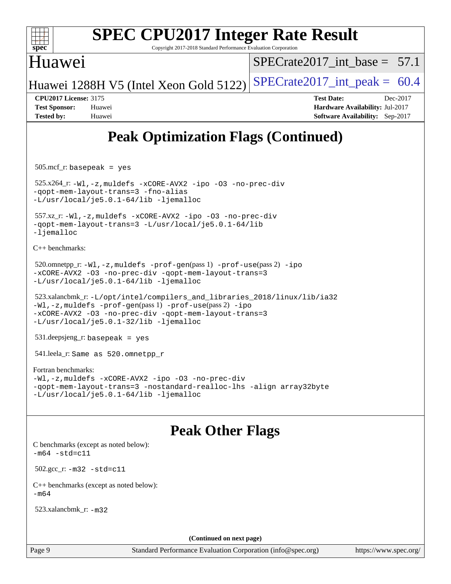

Copyright 2017-2018 Standard Performance Evaluation Corporation

## Huawei

SPECrate2017 int\_base =  $57.1$ 

Huawei 1288H V5 (Intel Xeon Gold 5122) SPECrate  $2017$ \_int\_peak = 60.4

**[CPU2017 License:](http://www.spec.org/auto/cpu2017/Docs/result-fields.html#CPU2017License)** 3175 **[Test Date:](http://www.spec.org/auto/cpu2017/Docs/result-fields.html#TestDate)** Dec-2017 **[Test Sponsor:](http://www.spec.org/auto/cpu2017/Docs/result-fields.html#TestSponsor)** Huawei **[Hardware Availability:](http://www.spec.org/auto/cpu2017/Docs/result-fields.html#HardwareAvailability)** Jul-2017 **[Tested by:](http://www.spec.org/auto/cpu2017/Docs/result-fields.html#Testedby)** Huawei **[Software Availability:](http://www.spec.org/auto/cpu2017/Docs/result-fields.html#SoftwareAvailability)** Sep-2017

## **[Peak Optimization Flags \(Continued\)](http://www.spec.org/auto/cpu2017/Docs/result-fields.html#PeakOptimizationFlags)**

505.mcf\_r: basepeak = yes

 525.x264\_r: [-Wl,-z,muldefs](http://www.spec.org/cpu2017/results/res2018q1/cpu2017-20180105-02481.flags.html#user_peakEXTRA_LDFLAGS525_x264_r_link_force_multiple1_b4cbdb97b34bdee9ceefcfe54f4c8ea74255f0b02a4b23e853cdb0e18eb4525ac79b5a88067c842dd0ee6996c24547a27a4b99331201badda8798ef8a743f577) [-xCORE-AVX2](http://www.spec.org/cpu2017/results/res2018q1/cpu2017-20180105-02481.flags.html#user_peakCOPTIMIZE525_x264_r_f-xCORE-AVX2) [-ipo](http://www.spec.org/cpu2017/results/res2018q1/cpu2017-20180105-02481.flags.html#user_peakCOPTIMIZE525_x264_r_f-ipo) [-O3](http://www.spec.org/cpu2017/results/res2018q1/cpu2017-20180105-02481.flags.html#user_peakCOPTIMIZE525_x264_r_f-O3) [-no-prec-div](http://www.spec.org/cpu2017/results/res2018q1/cpu2017-20180105-02481.flags.html#user_peakCOPTIMIZE525_x264_r_f-no-prec-div) [-qopt-mem-layout-trans=3](http://www.spec.org/cpu2017/results/res2018q1/cpu2017-20180105-02481.flags.html#user_peakCOPTIMIZE525_x264_r_f-qopt-mem-layout-trans_de80db37974c74b1f0e20d883f0b675c88c3b01e9d123adea9b28688d64333345fb62bc4a798493513fdb68f60282f9a726aa07f478b2f7113531aecce732043) [-fno-alias](http://www.spec.org/cpu2017/results/res2018q1/cpu2017-20180105-02481.flags.html#user_peakEXTRA_OPTIMIZE525_x264_r_f-no-alias_77dbac10d91cbfe898fbf4a29d1b29b694089caa623bdd1baccc9957d4edbe8d106c0b357e2748a65b44fc9e83d78098bb898077f3fe92f9faf24f7bd4a07ed7) [-L/usr/local/je5.0.1-64/lib](http://www.spec.org/cpu2017/results/res2018q1/cpu2017-20180105-02481.flags.html#user_peakEXTRA_LIBS525_x264_r_jemalloc_link_path64_4b10a636b7bce113509b17f3bd0d6226c5fb2346b9178c2d0232c14f04ab830f976640479e5c33dc2bcbbdad86ecfb6634cbbd4418746f06f368b512fced5394) [-ljemalloc](http://www.spec.org/cpu2017/results/res2018q1/cpu2017-20180105-02481.flags.html#user_peakEXTRA_LIBS525_x264_r_jemalloc_link_lib_d1249b907c500fa1c0672f44f562e3d0f79738ae9e3c4a9c376d49f265a04b9c99b167ecedbf6711b3085be911c67ff61f150a17b3472be731631ba4d0471706)

```
 557.xz_r: -Wl,-z,muldefs -xCORE-AVX2 -ipo -O3 -no-prec-div
-qopt-mem-layout-trans=3 -L/usr/local/je5.0.1-64/lib
-ljemalloc
```
[C++ benchmarks:](http://www.spec.org/auto/cpu2017/Docs/result-fields.html#CXXbenchmarks)

```
520.omnetpp_r:-Wl-prof-use-ipo
-xCORE-AVX2 -O3 -no-prec-div -qopt-mem-layout-trans=3
-L/usr/local/je5.0.1-64/lib -ljemalloc
```

```
 523.xalancbmk_r: -L/opt/intel/compilers_and_libraries_2018/linux/lib/ia32
-Wl,-z,muldefs -prof-gen(pass 1) -prof-use(pass 2) -ipo
-xCORE-AVX2 -O3 -no-prec-div -qopt-mem-layout-trans=3
-L/usr/local/je5.0.1-32/lib -ljemalloc
```
531.deepsjeng\_r: basepeak = yes

541.leela\_r: Same as 520.omnetpp\_r

#### [Fortran benchmarks](http://www.spec.org/auto/cpu2017/Docs/result-fields.html#Fortranbenchmarks):

```
-Wl,-z,muldefs -xCORE-AVX2 -ipo -O3 -no-prec-div
-qopt-mem-layout-trans=3 -nostandard-realloc-lhs -align array32byte
-L/usr/local/je5.0.1-64/lib -ljemalloc
```
## **[Peak Other Flags](http://www.spec.org/auto/cpu2017/Docs/result-fields.html#PeakOtherFlags)**

[C benchmarks \(except as noted below\)](http://www.spec.org/auto/cpu2017/Docs/result-fields.html#Cbenchmarksexceptasnotedbelow):  $-m64 - std= c11$  $-m64 - std= c11$  502.gcc\_r: [-m32](http://www.spec.org/cpu2017/results/res2018q1/cpu2017-20180105-02481.flags.html#user_peakCCLD502_gcc_r_intel_ia32_18.0_2666f1173eb60787016b673bfe1358e27016ef7649ea4884b7bc6187fd89dc221d14632e22638cde1c647a518de97358ab15d4ad098ee4e19a8b28d0c25e14bf) [-std=c11](http://www.spec.org/cpu2017/results/res2018q1/cpu2017-20180105-02481.flags.html#user_peakCCLD502_gcc_r_intel_compiler_c11_mode_0e1c27790398a4642dfca32ffe6c27b5796f9c2d2676156f2e42c9c44eaad0c049b1cdb667a270c34d979996257aeb8fc440bfb01818dbc9357bd9d174cb8524) [C++ benchmarks \(except as noted below\):](http://www.spec.org/auto/cpu2017/Docs/result-fields.html#CXXbenchmarksexceptasnotedbelow)  $-m64$ 523.xalancbmk\_r: [-m32](http://www.spec.org/cpu2017/results/res2018q1/cpu2017-20180105-02481.flags.html#user_peakCXXLD523_xalancbmk_r_intel_ia32_18.0_2666f1173eb60787016b673bfe1358e27016ef7649ea4884b7bc6187fd89dc221d14632e22638cde1c647a518de97358ab15d4ad098ee4e19a8b28d0c25e14bf)